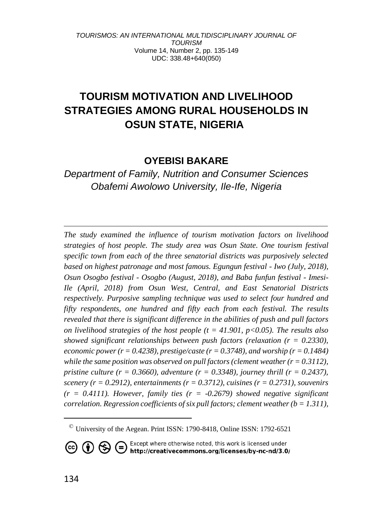# **TOURISM MOTIVATION AND LIVELIHOOD STRATEGIES AMONG RURAL HOUSEHOLDS IN OSUN STATE, NIGERIA<sup>3</sup>**

## **OYEBISI BAKARE**

# *Department of Family, Nutrition and Consumer Sciences Obafemi Awolowo University, Ile-Ife, Nigeria*

*The study examined the influence of tourism motivation factors on livelihood strategies of host people. The study area was Osun State. One tourism festival specific town from each of the three senatorial districts was purposively selected based on highest patronage and most famous. Egungun festival - Iwo (July, 2018), Osun Osogbo festival - Osogbo (August, 2018), and Baba funfun festival - Imesi-Ile (April, 2018) from Osun West, Central, and East Senatorial Districts respectively. Purposive sampling technique was used to select four hundred and fifty respondents, one hundred and fifty each from each festival. The results revealed that there is significant difference in the abilities of push and pull factors on livelihood strategies of the host people (t = 41.901, p<0.05). The results also showed significant relationships between push factors (relaxation (r = 0.2330), economic power (r = 0.4238), prestige/caste (r = 0.3748), and worship (r = 0.1484) while the same position was observed on pull factors (clement weather*  $(r = 0.3112)$ *), pristine culture (r = 0.3660), adventure (r = 0.3348), journey thrill (r = 0.2437), scenery*  $(r = 0.2912)$ , entertainments  $(r = 0.3712)$ , cuisines  $(r = 0.2731)$ , souvenirs  $(r = 0.4111)$ . However, family ties  $(r = -0.2679)$  showed negative significant *correlation. Regression coefficients of six pull factors; clement weather (b = 1.311),* 

**CC (i)**  $\bigodot$  **C** *Except where otherwise noted, this work is licensed under http://creativecommons.org/licenses/by-nc-nd/3.0/* 

 $\textdegree$  University of the Aegean. Print ISSN: 1790-8418, Online ISSN: 1792-6521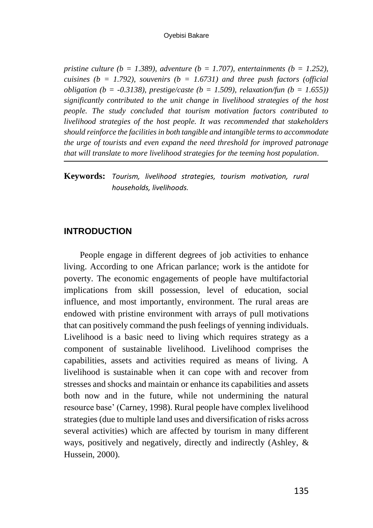*pristine culture (b = 1.389), adventure (b = 1.707), entertainments (b = 1.252). cuisines (b = 1.792), souvenirs (b = 1.6731) and three push factors (official obligation (b = -0.3138), prestige/caste (b = 1.509), relaxation/fun (b = 1.655)) significantly contributed to the unit change in livelihood strategies of the host people. The study concluded that tourism motivation factors contributed to livelihood strategies of the host people. It was recommended that stakeholders should reinforce the facilities in both tangible and intangible terms to accommodate the urge of tourists and even expand the need threshold for improved patronage that will translate to more livelihood strategies for the teeming host population.*

#### **Keywords:** *Tourism, livelihood strategies, tourism motivation, rural households, livelihoods.*

#### **INTRODUCTION**

People engage in different degrees of job activities to enhance living. According to one African parlance; work is the antidote for poverty. The economic engagements of people have multifactorial implications from skill possession, level of education, social influence, and most importantly, environment. The rural areas are endowed with pristine environment with arrays of pull motivations that can positively command the push feelings of yenning individuals. Livelihood is a basic need to living which requires strategy as a component of sustainable livelihood. Livelihood comprises the capabilities, assets and activities required as means of living. A livelihood is sustainable when it can cope with and recover from stresses and shocks and maintain or enhance its capabilities and assets both now and in the future, while not undermining the natural resource base' (Carney, 1998). Rural people have complex livelihood strategies (due to multiple land uses and diversification of risks across several activities) which are affected by tourism in many different ways, positively and negatively, directly and indirectly (Ashley, & Hussein, 2000).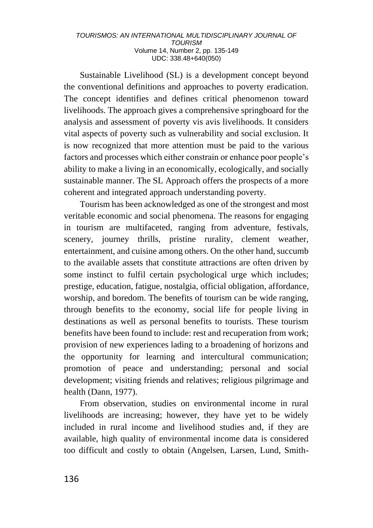Sustainable Livelihood (SL) is a development concept beyond the conventional definitions and approaches to poverty eradication. The concept identifies and defines critical phenomenon toward livelihoods. The approach gives a comprehensive springboard for the analysis and assessment of poverty vis avis livelihoods. It considers vital aspects of poverty such as vulnerability and social exclusion. It is now recognized that more attention must be paid to the various factors and processes which either constrain or enhance poor people's ability to make a living in an economically, ecologically, and socially sustainable manner. The SL Approach offers the prospects of a more coherent and integrated approach understanding poverty.

Tourism has been acknowledged as one of the strongest and most veritable economic and social phenomena. The reasons for engaging in tourism are multifaceted, ranging from adventure, festivals, scenery, journey thrills, pristine rurality, clement weather, entertainment, and cuisine among others. On the other hand, succumb to the available assets that constitute attractions are often driven by some instinct to fulfil certain psychological urge which includes; prestige, education, fatigue, nostalgia, official obligation, affordance, worship, and boredom. The benefits of tourism can be wide ranging, through benefits to the economy, social life for people living in destinations as well as personal benefits to tourists. These tourism benefits have been found to include: rest and recuperation from work; provision of new experiences lading to a broadening of horizons and the opportunity for learning and intercultural communication; promotion of peace and understanding; personal and social development; visiting friends and relatives; religious pilgrimage and health (Dann, 1977).

From observation, studies on environmental income in rural livelihoods are increasing; however, they have yet to be widely included in rural income and livelihood studies and, if they are available, high quality of environmental income data is considered too difficult and costly to obtain (Angelsen, Larsen, Lund, Smith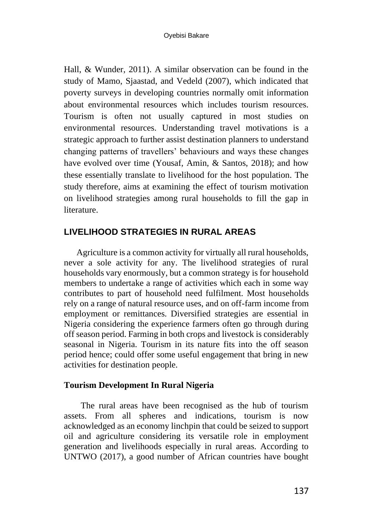Hall, & Wunder, 2011). A similar observation can be found in the study of Mamo, Sjaastad, and Vedeld (2007), which indicated that poverty surveys in developing countries normally omit information about environmental resources which includes tourism resources. Tourism is often not usually captured in most studies on environmental resources. Understanding travel motivations is a strategic approach to further assist destination planners to understand changing patterns of travellers' behaviours and ways these changes have evolved over time (Yousaf, Amin, & Santos, 2018); and how these essentially translate to livelihood for the host population. The study therefore, aims at examining the effect of tourism motivation on livelihood strategies among rural households to fill the gap in literature.

#### **LIVELIHOOD STRATEGIES IN RURAL AREAS**

Agriculture is a common activity for virtually all rural households, never a sole activity for any. The livelihood strategies of rural households vary enormously, but a common strategy is for household members to undertake a range of activities which each in some way contributes to part of household need fulfilment. Most households rely on a range of natural resource uses, and on off-farm income from employment or remittances. Diversified strategies are essential in Nigeria considering the experience farmers often go through during off season period. Farming in both crops and livestock is considerably seasonal in Nigeria. Tourism in its nature fits into the off season period hence; could offer some useful engagement that bring in new activities for destination people.

#### **Tourism Development In Rural Nigeria**

The rural areas have been recognised as the hub of tourism assets. From all spheres and indications, tourism is now acknowledged as an economy linchpin that could be seized to support oil and agriculture considering its versatile role in employment generation and livelihoods especially in rural areas. According to UNTWO (2017), a good number of African countries have bought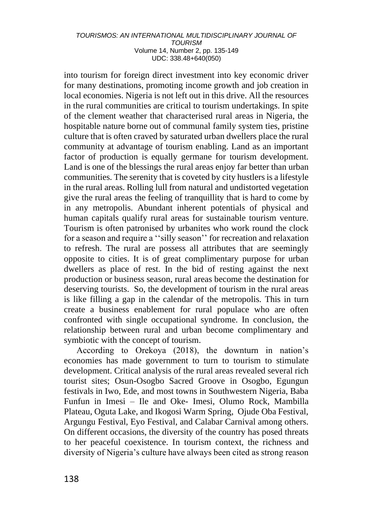into tourism for foreign direct investment into key economic driver for many destinations, promoting income growth and job creation in local economies. Nigeria is not left out in this drive. All the resources in the rural communities are critical to tourism undertakings. In spite of the clement weather that characterised rural areas in Nigeria, the hospitable nature borne out of communal family system ties, pristine culture that is often craved by saturated urban dwellers place the rural community at advantage of tourism enabling. Land as an important factor of production is equally germane for tourism development. Land is one of the blessings the rural areas enjoy far better than urban communities. The serenity that is coveted by city hustlers is a lifestyle in the rural areas. Rolling lull from natural and undistorted vegetation give the rural areas the feeling of tranquillity that is hard to come by in any metropolis. Abundant inherent potentials of physical and human capitals qualify rural areas for sustainable tourism venture. Tourism is often patronised by urbanites who work round the clock for a season and require a ''silly season'' for recreation and relaxation to refresh. The rural are possess all attributes that are seemingly opposite to cities. It is of great complimentary purpose for urban dwellers as place of rest. In the bid of resting against the next production or business season, rural areas become the destination for deserving tourists. So, the development of tourism in the rural areas is like filling a gap in the calendar of the metropolis. This in turn create a business enablement for rural populace who are often confronted with single occupational syndrome. In conclusion, the relationship between rural and urban become complimentary and symbiotic with the concept of tourism.

According to Orekoya (2018), the downturn in nation's economies has made government to turn to tourism to stimulate development. Critical analysis of the rural areas revealed several rich tourist sites; Osun-Osogbo Sacred Groove in Osogbo, Egungun festivals in Iwo, Ede, and most towns in Southwestern Nigeria, Baba Funfun in Imesi – Ile and Oke- Imesi, Olumo Rock, Mambilla Plateau, Oguta Lake, and Ikogosi Warm Spring, Ojude Oba Festival, Argungu Festival, Eyo Festival, and Calabar Carnival among others. On different occasions, the diversity of the country has posed threats to her peaceful coexistence. In tourism context, the richness and diversity of Nigeria's culture have always been cited as strong reason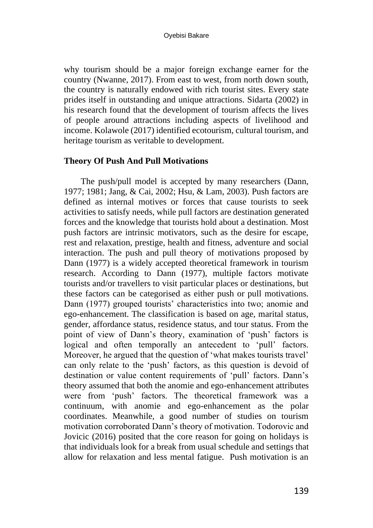why tourism should be a major foreign exchange earner for the country (Nwanne, 2017). From east to west, from north down south, the country is naturally endowed with rich tourist sites. Every state prides itself in outstanding and unique attractions. Sidarta (2002) in his research found that the development of tourism affects the lives of people around attractions including aspects of livelihood and income. Kolawole (2017) identified ecotourism, cultural tourism, and heritage tourism as veritable to development.

#### **Theory Of Push And Pull Motivations**

The push/pull model is accepted by many researchers (Dann, 1977; 1981; Jang, & Cai, 2002; Hsu, & Lam, 2003). Push factors are defined as internal motives or forces that cause tourists to seek activities to satisfy needs, while pull factors are destination generated forces and the knowledge that tourists hold about a destination. Most push factors are intrinsic motivators, such as the desire for escape, rest and relaxation, prestige, health and fitness, adventure and social interaction. The push and pull theory of motivations proposed by Dann (1977) is a widely accepted theoretical framework in tourism research. According to Dann (1977), multiple factors motivate tourists and/or travellers to visit particular places or destinations, but these factors can be categorised as either push or pull motivations. Dann (1977) grouped tourists' characteristics into two; anomie and ego-enhancement. The classification is based on age, marital status, gender, affordance status, residence status, and tour status. From the point of view of Dann's theory, examination of 'push' factors is logical and often temporally an antecedent to 'pull' factors. Moreover, he argued that the question of 'what makes tourists travel' can only relate to the 'push' factors, as this question is devoid of destination or value content requirements of 'pull' factors. Dann's theory assumed that both the anomie and ego-enhancement attributes were from 'push' factors. The theoretical framework was a continuum, with anomie and ego-enhancement as the polar coordinates. Meanwhile, a good number of studies on tourism motivation corroborated Dann's theory of motivation. Todorovic and Jovicic (2016) posited that the core reason for going on holidays is that individuals look for a break from usual schedule and settings that allow for relaxation and less mental fatigue. Push motivation is an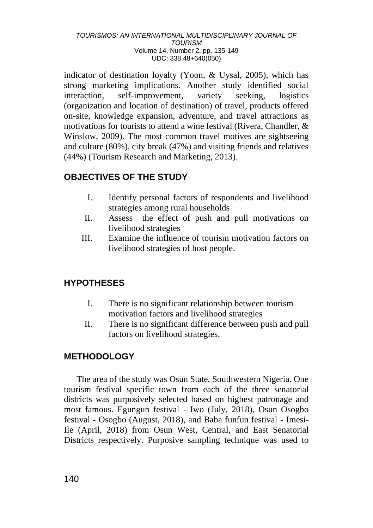indicator of destination loyalty (Yoon, & Uysal, 2005), which has strong marketing implications. Another study identified social interaction, self-improvement, variety seeking, logistics (organization and location of destination) of travel, products offered on-site, knowledge expansion, adventure, and travel attractions as motivations for tourists to attend a wine festival (Rivera, Chandler, & Winslow, 2009). The most common travel motives are sightseeing and culture (80%), city break (47%) and visiting friends and relatives (44%) (Tourism Research and Marketing, 2013).

# **OBJECTIVES OF THE STUDY**

- I. Identify personal factors of respondents and livelihood strategies among rural households
- II. Assess the effect of push and pull motivations on livelihood strategies
- III. Examine the influence of tourism motivation factors on livelihood strategies of host people.

# **HYPOTHESES**

- I. There is no significant relationship between tourism motivation factors and livelihood strategies
- II. There is no significant difference between push and pull factors on livelihood strategies.

# **METHODOLOGY**

The area of the study was Osun State, Southwestern Nigeria. One tourism festival specific town from each of the three senatorial districts was purposively selected based on highest patronage and most famous. Egungun festival - Iwo (July, 2018), Osun Osogbo festival - Osogbo (August, 2018), and Baba funfun festival - Imesi-Ile (April, 2018) from Osun West, Central, and East Senatorial Districts respectively. Purposive sampling technique was used to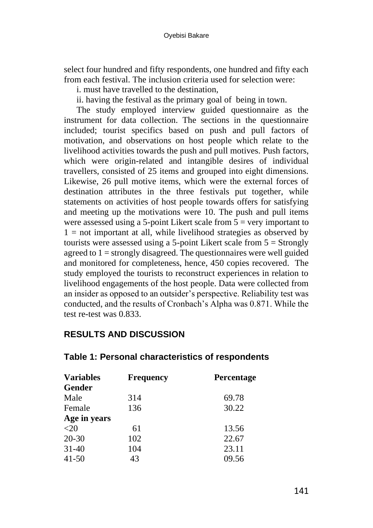select four hundred and fifty respondents, one hundred and fifty each from each festival. The inclusion criteria used for selection were:

i. must have travelled to the destination

ii. having the festival as the primary goal of being in town.

The study employed interview guided questionnaire as the instrument for data collection. The sections in the questionnaire included; tourist specifics based on push and pull factors of motivation, and observations on host people which relate to the livelihood activities towards the push and pull motives. Push factors, which were origin-related and intangible desires of individual travellers, consisted of 25 items and grouped into eight dimensions. Likewise, 26 pull motive items, which were the external forces of destination attributes in the three festivals put together, while statements on activities of host people towards offers for satisfying and meeting up the motivations were 10. The push and pull items were assessed using a 5-point Likert scale from  $5 = \text{very important to}$  $1 =$  not important at all, while livelihood strategies as observed by tourists were assessed using a 5-point Likert scale from  $5 =$  Strongly agreed to  $1 =$  strongly disagreed. The questionnaires were well guided and monitored for completeness, hence, 450 copies recovered. The study employed the tourists to reconstruct experiences in relation to livelihood engagements of the host people. Data were collected from an insider as opposed to an outsider's perspective. Reliability test was conducted, and the results of Cronbach's Alpha was 0.871. While the test re-test was 0.833.

# **RESULTS AND DISCUSSION**

| <b>Variables</b> | <b>Frequency</b> | <b>Percentage</b> |  |
|------------------|------------------|-------------------|--|
| Gender           |                  |                   |  |
| Male             | 314              | 69.78             |  |
| Female           | 136              | 30.22             |  |
| Age in years     |                  |                   |  |
| $<$ 20           | 61               | 13.56             |  |
| $20 - 30$        | 102              | 22.67             |  |
| $31-40$          | 104              | 23.11             |  |
| $41 - 50$        | 43               | 09.56             |  |

## **Table 1: Personal characteristics of respondents**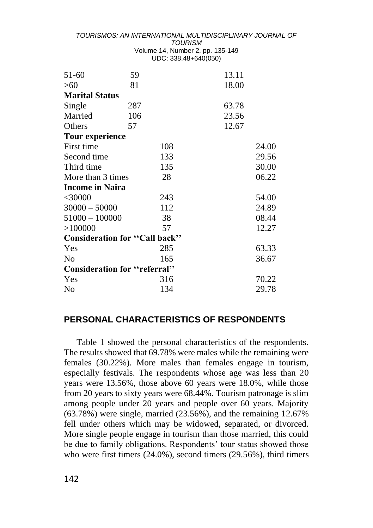| 51-60                         | 59  | 13.11 |       |
|-------------------------------|-----|-------|-------|
| >60                           | 81  | 18.00 |       |
| <b>Marital Status</b>         |     |       |       |
| Single                        | 287 | 63.78 |       |
| Married                       | 106 | 23.56 |       |
| Others                        | 57  | 12.67 |       |
| <b>Tour experience</b>        |     |       |       |
| First time                    | 108 |       | 24.00 |
| Second time                   | 133 |       | 29.56 |
| Third time                    | 135 |       | 30.00 |
| More than 3 times             | 28  |       | 06.22 |
| <b>Income in Naira</b>        |     |       |       |
| $<$ 30000                     | 243 |       | 54.00 |
| $30000 - 50000$               | 112 |       | 24.89 |
| $51000 - 100000$              | 38  |       | 08.44 |
| >100000                       | 57  |       | 12.27 |
| Consideration for "Call back" |     |       |       |
| Yes                           | 285 |       | 63.33 |
| N <sub>0</sub>                | 165 |       | 36.67 |
| Consideration for "referral"  |     |       |       |
| Yes                           | 316 |       | 70.22 |
| No                            | 134 |       | 29.78 |

#### **PERSONAL CHARACTERISTICS OF RESPONDENTS**

Table 1 showed the personal characteristics of the respondents. The results showed that 69.78% were males while the remaining were females (30.22%). More males than females engage in tourism, especially festivals. The respondents whose age was less than 20 years were 13.56%, those above 60 years were 18.0%, while those from 20 years to sixty years were 68.44%. Tourism patronage is slim among people under 20 years and people over 60 years. Majority  $(63.78%)$  were single, married  $(23.56%)$ , and the remaining  $12.67%$ fell under others which may be widowed, separated, or divorced. More single people engage in tourism than those married, this could be due to family obligations. Respondents' tour status showed those who were first timers (24.0%), second timers (29.56%), third timers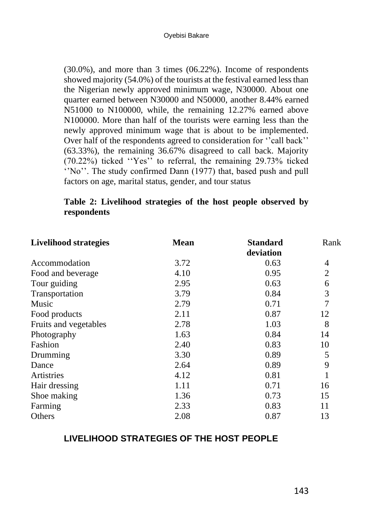(30.0%), and more than 3 times (06.22%). Income of respondents showed majority (54.0%) of the tourists at the festival earned less than the Nigerian newly approved minimum wage, N30000. About one quarter earned between N30000 and N50000, another 8.44% earned N51000 to N100000, while, the remaining 12.27% earned above N100000. More than half of the tourists were earning less than the newly approved minimum wage that is about to be implemented. Over half of the respondents agreed to consideration for ''call back'' (63.33%), the remaining 36.67% disagreed to call back. Majority (70.22%) ticked ''Yes'' to referral, the remaining 29.73% ticked ''No''. The study confirmed Dann (1977) that, based push and pull factors on age, marital status, gender, and tour status

#### **Table 2: Livelihood strategies of the host people observed by respondents**

| <b>Livelihood strategies</b> | <b>Mean</b> | <b>Standard</b> | Rank |
|------------------------------|-------------|-----------------|------|
|                              |             |                 |      |
| Accommodation                | 3.72        | 0.63            | 4    |
| Food and beverage            | 4.10        | 0.95            | 2    |
| Tour guiding                 | 2.95        | 0.63            | 6    |
| Transportation               | 3.79        | 0.84            | 3    |
| Music                        | 2.79        | 0.71            |      |
| Food products                | 2.11        | 0.87            | 12   |
| Fruits and vegetables        | 2.78        | 1.03            | 8    |
| Photography                  | 1.63        | 0.84            | 14   |
| Fashion                      | 2.40        | 0.83            | 10   |
| Drumming                     | 3.30        | 0.89            | 5    |
| Dance                        | 2.64        | 0.89            | 9    |
| Artistries                   | 4.12        | 0.81            |      |
| Hair dressing                | 1.11        | 0.71            | 16   |
| Shoe making                  | 1.36        | 0.73            | 15   |
| Farming                      | 2.33        | 0.83            | 11   |
| Others                       | 2.08        | 0.87            | 13   |

## **LIVELIHOOD STRATEGIES OF THE HOST PEOPLE**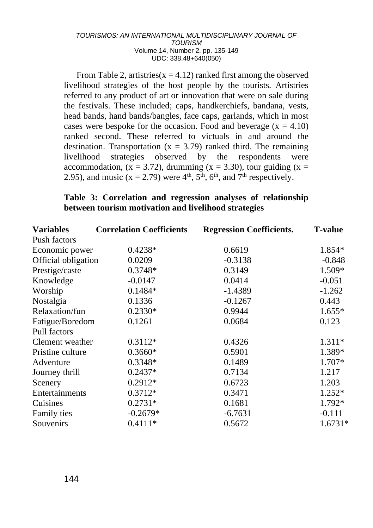From Table 2, artistries( $x = 4.12$ ) ranked first among the observed livelihood strategies of the host people by the tourists. Artistries referred to any product of art or innovation that were on sale during the festivals. These included; caps, handkerchiefs, bandana, vests, head bands, hand bands/bangles, face caps, garlands, which in most cases were bespoke for the occasion. Food and beverage  $(x = 4.10)$ ranked second. These referred to victuals in and around the destination. Transportation ( $x = 3.79$ ) ranked third. The remaining livelihood strategies observed by the respondents were accommodation,  $(x = 3.72)$ , drumming  $(x = 3.30)$ , tour guiding  $(x = 1.52)$ 2.95), and music ( $x = 2.79$ ) were 4<sup>th</sup>, 5<sup>th</sup>, 6<sup>th</sup>, and 7<sup>th</sup> respectively.

### **Table 3: Correlation and regression analyses of relationship between tourism motivation and livelihood strategies**

| <b>Variables</b>    | <b>Correlation Coefficients</b> | <b>Regression Coefficients.</b> | <b>T-value</b> |
|---------------------|---------------------------------|---------------------------------|----------------|
| Push factors        |                                 |                                 |                |
| Economic power      | $0.4238*$                       | 0.6619                          | 1.854*         |
| Official obligation | 0.0209                          | $-0.3138$                       | $-0.848$       |
| Prestige/caste      | $0.3748*$                       | 0.3149                          | 1.509*         |
| Knowledge           | $-0.0147$                       | 0.0414                          | $-0.051$       |
| Worship             | $0.1484*$                       | $-1.4389$                       | $-1.262$       |
| Nostalgia           | 0.1336                          | $-0.1267$                       | 0.443          |
| Relaxation/fun      | $0.2330*$                       | 0.9944                          | $1.655*$       |
| Fatigue/Boredom     | 0.1261                          | 0.0684                          | 0.123          |
| Pull factors        |                                 |                                 |                |
| Clement weather     | $0.3112*$                       | 0.4326                          | $1.311*$       |
| Pristine culture    | $0.3660*$                       | 0.5901                          | 1.389*         |
| Adventure           | $0.3348*$                       | 0.1489                          | $1.707*$       |
| Journey thrill      | $0.2437*$                       | 0.7134                          | 1.217          |
| Scenery             | $0.2912*$                       | 0.6723                          | 1.203          |
| Entertainments      | $0.3712*$                       | 0.3471                          | $1.252*$       |
| Cuisines            | $0.2731*$                       | 0.1681                          | 1.792*         |
| Family ties         | $-0.2679*$                      | $-6.7631$                       | $-0.111$       |
| Souvenirs           | $0.4111*$                       | 0.5672                          | $1.6731*$      |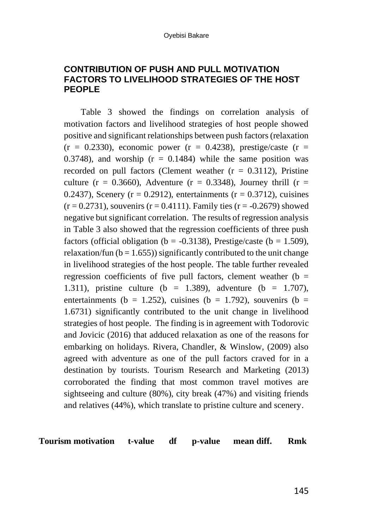## **CONTRIBUTION OF PUSH AND PULL MOTIVATION FACTORS TO LIVELIHOOD STRATEGIES OF THE HOST PEOPLE**

Table 3 showed the findings on correlation analysis of motivation factors and livelihood strategies of host people showed positive and significant relationships between push factors (relaxation  $(r = 0.2330)$ , economic power  $(r = 0.4238)$ , prestige/caste  $(r = 1.4238)$ 0.3748), and worship  $(r = 0.1484)$  while the same position was recorded on pull factors (Clement weather  $(r = 0.3112)$ , Pristine culture ( $r = 0.3660$ ), Adventure ( $r = 0.3348$ ), Journey thrill ( $r =$ 0.2437), Scenery ( $r = 0.2912$ ), entertainments ( $r = 0.3712$ ), cuisines  $(r = 0.2731)$ , souvenirs  $(r = 0.4111)$ . Family ties  $(r = -0.2679)$  showed negative but significant correlation. The results of regression analysis in Table 3 also showed that the regression coefficients of three push factors (official obligation (b =  $-0.3138$ ), Prestige/caste (b = 1.509), relaxation/fun ( $b = 1.655$ )) significantly contributed to the unit change in livelihood strategies of the host people. The table further revealed regression coefficients of five pull factors, clement weather  $(b =$ 1.311), pristine culture (b = 1.389), adventure (b = 1.707), entertainments (b = 1.252), cuisines (b = 1.792), souvenirs (b = 1.6731) significantly contributed to the unit change in livelihood strategies of host people. The finding is in agreement with Todorovic and Jovicic (2016) that adduced relaxation as one of the reasons for embarking on holidays. Rivera, Chandler, & Winslow, (2009) also agreed with adventure as one of the pull factors craved for in a destination by tourists. Tourism Research and Marketing (2013) corroborated the finding that most common travel motives are sightseeing and culture (80%), city break (47%) and visiting friends and relatives (44%), which translate to pristine culture and scenery.

**Tourism motivation t-value df p-value mean diff. Rmk**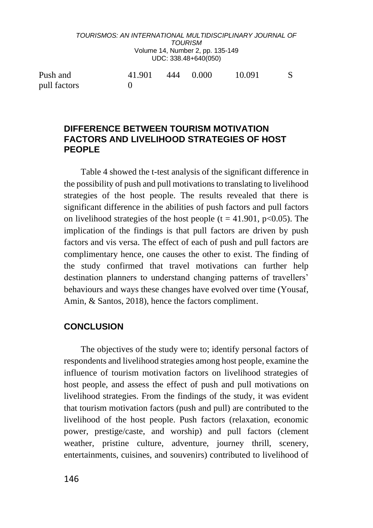## **DIFFERENCE BETWEEN TOURISM MOTIVATION FACTORS AND LIVELIHOOD STRATEGIES OF HOST PEOPLE**

Table 4 showed the t-test analysis of the significant difference in the possibility of push and pull motivations to translating to livelihood strategies of the host people. The results revealed that there is significant difference in the abilities of push factors and pull factors on livelihood strategies of the host people (t = 41.901,  $p<0.05$ ). The implication of the findings is that pull factors are driven by push factors and vis versa. The effect of each of push and pull factors are complimentary hence, one causes the other to exist. The finding of the study confirmed that travel motivations can further help destination planners to understand changing patterns of travellers' behaviours and ways these changes have evolved over time (Yousaf, Amin, & Santos, 2018), hence the factors compliment.

## **CONCLUSION**

The objectives of the study were to; identify personal factors of respondents and livelihood strategies among host people, examine the influence of tourism motivation factors on livelihood strategies of host people, and assess the effect of push and pull motivations on livelihood strategies. From the findings of the study, it was evident that tourism motivation factors (push and pull) are contributed to the livelihood of the host people. Push factors (relaxation, economic power, prestige/caste, and worship) and pull factors (clement weather, pristine culture, adventure, journey thrill, scenery, entertainments, cuisines, and souvenirs) contributed to livelihood of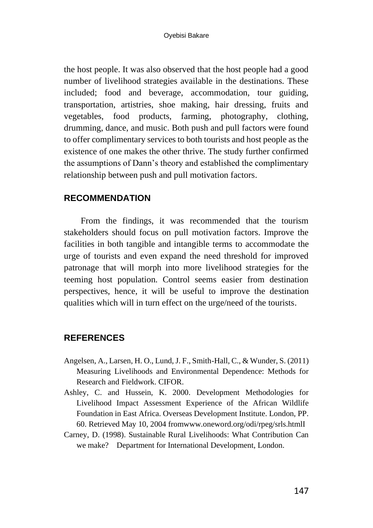the host people. It was also observed that the host people had a good number of livelihood strategies available in the destinations. These included; food and beverage, accommodation, tour guiding, transportation, artistries, shoe making, hair dressing, fruits and vegetables, food products, farming, photography, clothing, drumming, dance, and music. Both push and pull factors were found to offer complimentary services to both tourists and host people as the existence of one makes the other thrive. The study further confirmed the assumptions of Dann's theory and established the complimentary relationship between push and pull motivation factors.

## **RECOMMENDATION**

From the findings, it was recommended that the tourism stakeholders should focus on pull motivation factors. Improve the facilities in both tangible and intangible terms to accommodate the urge of tourists and even expand the need threshold for improved patronage that will morph into more livelihood strategies for the teeming host population. Control seems easier from destination perspectives, hence, it will be useful to improve the destination qualities which will in turn effect on the urge/need of the tourists.

# **REFERENCES**

- Angelsen, A., Larsen, H. O., Lund, J. F., Smith-Hall, C., & Wunder, S. (2011) Measuring Livelihoods and Environmental Dependence: Methods for Research and Fieldwork. CIFOR.
- Ashley, C. and Hussein, K. 2000. Development Methodologies for Livelihood Impact Assessment Experience of the African Wildlife Foundation in East Africa. Overseas Development Institute. London, PP. 60. Retrieved May 10, 2004 fromwww.oneword.org/odi/rpeg/srls.htmlI
- Carney, D. (1998). Sustainable Rural Livelihoods: What Contribution Can we make? Department for International Development, London.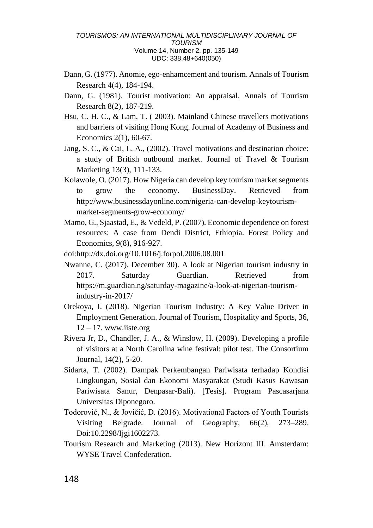- Dann, G. (1977). Anomie, ego-enhamcement and tourism. Annals of Tourism Research 4(4), 184-194.
- Dann, G. (1981). Tourist motivation: An appraisal, Annals of Tourism Research 8(2), 187-219.
- Hsu, C. H. C., & Lam, T. ( 2003). Mainland Chinese travellers motivations and barriers of visiting Hong Kong. Journal of Academy of Business and Economics 2(1), 60-67.
- Jang, S. C., & Cai, L. A., (2002). Travel motivations and destination choice: a study of British outbound market. Journal of Travel & Tourism Marketing 13(3), 111-133.
- Kolawole, O. (2017). How Nigeria can develop key tourism market segments to grow the economy. BusinessDay. Retrieved from http://www.businessdayonline.com/nigeria-can-develop-keytourismmarket-segments-grow-economy/
- Mamo, G., Sjaastad, E., & Vedeld, P. (2007). Economic dependence on forest resources: A case from Dendi District, Ethiopia. Forest Policy and Economics, 9(8), 916-927.
- doi:http://dx.doi.org/10.1016/j.forpol.2006.08.001
- Nwanne, C. (2017). December 30). A look at Nigerian tourism industry in 2017. Saturday Guardian. Retrieved from https://m.guardian.ng/saturday-magazine/a-look-at-nigerian-tourismindustry-in-2017/
- Orekoya, I. (2018). Nigerian Tourism Industry: A Key Value Driver in Employment Generation. Journal of Tourism, Hospitality and Sports, 36,  $12 - 17$ . www.iiste.org
- Rivera Jr, D., Chandler, J. A., & Winslow, H. (2009). Developing a profile of visitors at a North Carolina wine festival: pilot test. The Consortium Journal, 14(2), 5-20.
- Sidarta, T. (2002). Dampak Perkembangan Pariwisata terhadap Kondisi Lingkungan, Sosial dan Ekonomi Masyarakat (Studi Kasus Kawasan Pariwisata Sanur, Denpasar-Bali). [Tesis]. Program Pascasarjana Universitas Diponegoro.
- Todorović, N., & Jovičić, D. (2016). Motivational Factors of Youth Tourists Visiting Belgrade. Journal of Geography, 66(2), 273–289. Doi:10.2298/Ijgi1602273.
- Tourism Research and Marketing (2013). New Horizont III. Amsterdam: WYSE Travel Confederation.